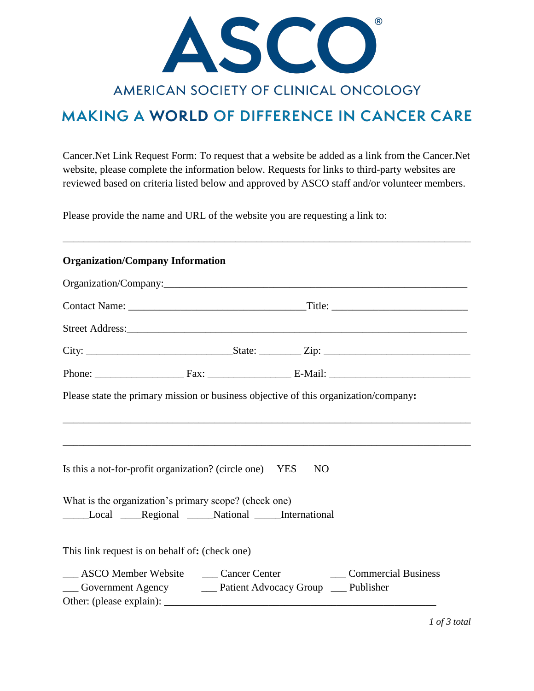

## AMERICAN SOCIETY OF CLINICAL ONCOLOGY

# **MAKING A WORLD OF DIFFERENCE IN CANCER CARE**

Cancer.Net Link Request Form: To request that a website be added as a link from the Cancer.Net website, please complete the information below. Requests for links to third-party websites are reviewed based on criteria listed below and approved by ASCO staff and/or volunteer members.

\_\_\_\_\_\_\_\_\_\_\_\_\_\_\_\_\_\_\_\_\_\_\_\_\_\_\_\_\_\_\_\_\_\_\_\_\_\_\_\_\_\_\_\_\_\_\_\_\_\_\_\_\_\_\_\_\_\_\_\_\_\_\_\_\_\_\_\_\_\_\_\_\_\_\_\_\_\_

Please provide the name and URL of the website you are requesting a link to:

#### **Organization/Company Information**

| Please state the primary mission or business objective of this organization/company: |                                                                                   |
|--------------------------------------------------------------------------------------|-----------------------------------------------------------------------------------|
|                                                                                      |                                                                                   |
|                                                                                      | ,我们也不能在这里的时候,我们也不能在这里的时候,我们也不能会在这里的时候,我们也不能会在这里的时候,我们也不能会在这里的时候,我们也不能会在这里的时候,我们也不 |
| Is this a not-for-profit organization? (circle one) YES                              | NO                                                                                |
| What is the organization's primary scope? (check one)                                |                                                                                   |
| Local Regional National International                                                |                                                                                   |
| This link request is on behalf of: (check one)                                       |                                                                                   |
|                                                                                      | __ ASCO Member Website __ Cancer Center ________ Commercial Business              |
| __ Government Agency ______ Patient Advocacy Group ____ Publisher                    |                                                                                   |
|                                                                                      |                                                                                   |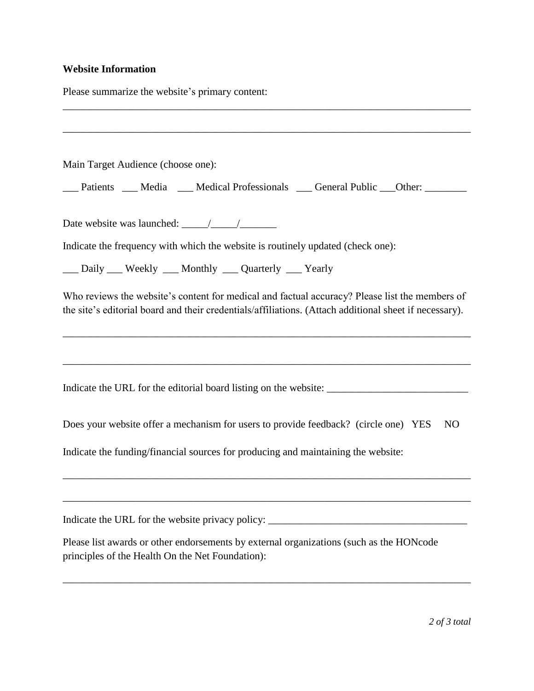### **Website Information**

Please summarize the website's primary content:

| Main Target Audience (choose one):                                                                                                                                                                       |
|----------------------------------------------------------------------------------------------------------------------------------------------------------------------------------------------------------|
| ___ Patients ___ Media ___ Medical Professionals ___ General Public ___ Other: _______                                                                                                                   |
|                                                                                                                                                                                                          |
| Indicate the frequency with which the website is routinely updated (check one):                                                                                                                          |
| __ Daily __ Weekly __ Monthly __ Quarterly __ Yearly                                                                                                                                                     |
| Who reviews the website's content for medical and factual accuracy? Please list the members of<br>the site's editorial board and their credentials/affiliations. (Attach additional sheet if necessary). |
|                                                                                                                                                                                                          |
| Indicate the URL for the editorial board listing on the website: ___________________________________                                                                                                     |
| Does your website offer a mechanism for users to provide feedback? (circle one) YES<br>N <sub>O</sub>                                                                                                    |
| Indicate the funding/financial sources for producing and maintaining the website:                                                                                                                        |
| Indicate the URL for the website privacy policy: ________________________________                                                                                                                        |
| Please list awards or other endorsements by external organizations (such as the HONcode<br>principles of the Health On the Net Foundation):                                                              |
|                                                                                                                                                                                                          |